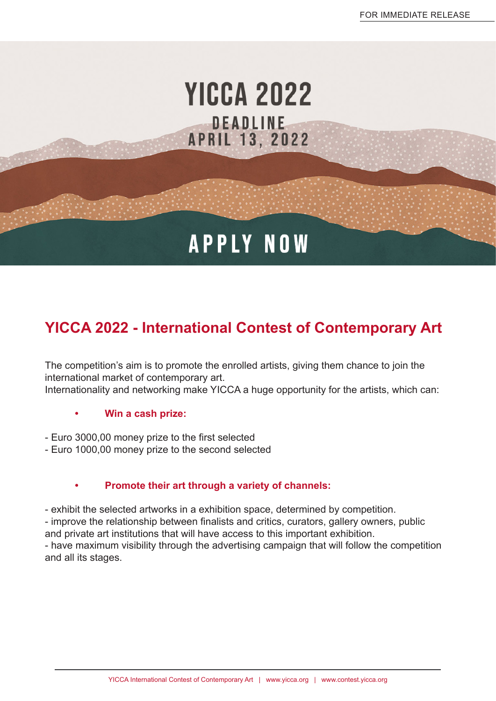## **YICCA 2022** DEADLINE **APRIL 13, 2022**

# **APPLY NOW**

## **YICCA 2022 - International Contest of Contemporary Art**

The competition's aim is to promote the enrolled artists, giving them chance to join the international market of contemporary art. Internationality and networking make YICCA a huge opportunity for the artists, which can:

#### **• Win a cash prize:**

- Euro 3000,00 money prize to the first selected
- Euro 1000,00 money prize to the second selected

#### **• Promote their art through a variety of channels:**

- exhibit the selected artworks in a exhibition space, determined by competition.

- improve the relationship between finalists and critics, curators, gallery owners, public and private art institutions that will have access to this important exhibition.

- have maximum visibility through the advertising campaign that will follow the competition and all its stages.